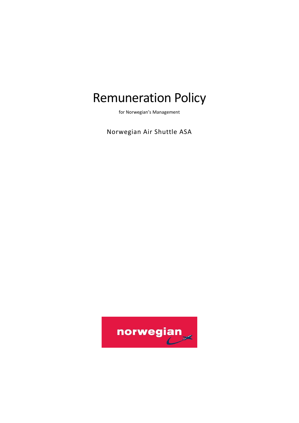# Remuneration Policy

for Norwegian's Management

Norwegian Air Shuttle ASA

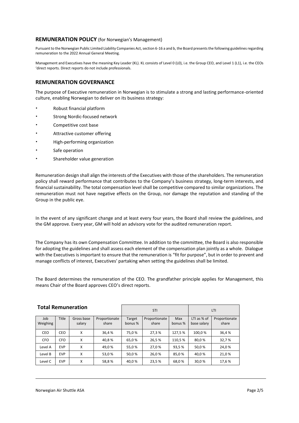#### **REMUNERATION POLICY** (for Norwegian's Management)

Pursuant to the Norwegian Public Limited Liability Companies Act, section 6-16 a and b, the Board presents the following guidelines regarding remuneration to the 2022 Annual General Meeting.

Management and Executives have the meaning Key Leader (KL). KL consists of Level 0 (L0), i.e. the Group CEO, and Level 1 (L1), i.e. the CEOs 'direct reports. Direct reports do not include professionals.

## **REMUNERATION GOVERNANCE**

The purpose of Executive remuneration in Norwegian is to stimulate a strong and lasting performance-oriented culture, enabling Norwegian to deliver on its business strategy:

- Robust financial platform
- Strong Nordic-focused network
- Competitive cost base
- Attractive customer offering
- High-performing organization
- Safe operation
- Shareholder value generation

Remuneration design shall align the interests of the Executives with those of the shareholders. The remuneration policy shall reward performance that contributes to the Company's business strategy, long-term interests, and financial sustainability. The total compensation level shall be competitive compared to similar organizations. The remuneration must not have negative effects on the Group, nor damage the reputation and standing of the Group in the public eye.

In the event of any significant change and at least every four years, the Board shall review the guidelines, and the GM approve. Every year, GM will hold an advisory vote for the audited remuneration report.

The Company has its own Compensation Committee. In addition to the committee, the Board is also responsible for adopting the guidelines and shall assess each element of the compensation plan jointly as a whole. Dialogue with the Executives is important to ensure that the remuneration is "fit for purpose", but in order to prevent and manage conflicts of interest, Executives' partaking when setting the guidelines shall be limited.

The Board determines the remuneration of the CEO. The grandfather principle applies for Management, this means Chair of the Board approves CEO's direct reports.

| <b>Total Remuneration</b> |            |            |               | <b>STI</b> |               |         | LTI         |               |
|---------------------------|------------|------------|---------------|------------|---------------|---------|-------------|---------------|
| Job                       | Title      | Gross base | Proportionate | Target     | Proportionate | Max     | LTI as % of | Proportionate |
| Weighing                  |            | salary     | share         | bonus %    | share         | bonus % | base salary | share         |
| CEO                       | CEO        | x          | 36,4%         | 75.0%      | 27,3%         | 127,5%  | 100,0%      | 36,4%         |
| <b>CFO</b>                | <b>CFO</b> | x          | 40,8%         | 65,0%      | 26,5%         | 110,5%  | 80,0%       | 32,7%         |
| Level A                   | <b>EVP</b> | x          | 49,0%         | 55,0%      | 27,0%         | 93,5%   | 50,0%       | 24,0%         |
| Level B                   | <b>EVP</b> | x          | 53,0%         | 50,0%      | 26,0%         | 85,0%   | 40.0%       | 21,0 %        |
| Level C                   | <b>EVP</b> | x          | 58,8%         | 40,0%      | 23,5%         | 68,0%   | 30,0 %      | 17,6%         |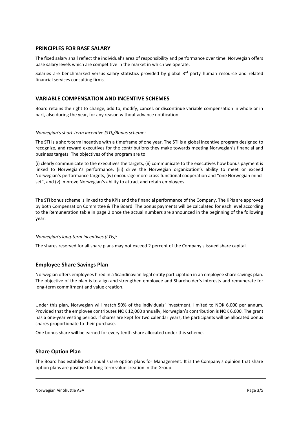#### **PRINCIPLES FOR BASE SALARY**

The fixed salary shall reflect the individual's area of responsibility and performance over time. Norwegian offers base salary levels which are competitive in the market in which we operate.

Salaries are benchmarked versus salary statistics provided by global 3<sup>rd</sup> party human resource and related financial services consulting firms.

## **VARIABLE COMPENSATION AND INCENTIVE SCHEMES**

Board retains the right to change, add to, modify, cancel, or discontinue variable compensation in whole or in part, also during the year, for any reason without advance notification.

#### *Norwegian's short-term incentive (STI)/Bonus scheme:*

The STI is a short-term incentive with a timeframe of one year. The STI is a global incentive program designed to recognize, and reward executives for the contributions they make towards meeting Norwegian's financial and business targets. The objectives of the program are to

(i) clearly communicate to the executives the targets, (ii) communicate to the executives how bonus payment is linked to Norwegian's performance, (iii) drive the Norwegian organization's ability to meet or exceed Norwegian's performance targets, (iv) encourage more cross functional cooperation and "one Norwegian mindset", and (v) improve Norwegian's ability to attract and retain employees.

The STI bonus scheme is linked to the KPIs and the financial performance of the Company. The KPIs are approved by both Compensation Committee & The Board. The bonus payments will be calculated for each level according to the Remuneration table in page 2 once the actual numbers are announced in the beginning of the following year.

#### *Norwegian's long-term incentives (LTIs):*

The shares reserved for all share plans may not exceed 2 percent of the Company's issued share capital.

## **Employee Share Savings Plan**

Norwegian offers employees hired in a Scandinavian legal entity participation in an employee share savings plan. The objective of the plan is to align and strengthen employee and Shareholder's interests and remunerate for long-term commitment and value creation.

Under this plan, Norwegian will match 50% of the individuals' investment, limited to NOK 6,000 per annum. Provided that the employee contributes NOK 12,000 annually, Norwegian's contribution is NOK 6,000. The grant has a one-year vesting period. If shares are kept for two calendar years, the participants will be allocated bonus shares proportionate to their purchase.

One bonus share will be earned for every tenth share allocated under this scheme.

# **Share Option Plan**

The Board has established annual share option plans for Management. It is the Company's opinion that share option plans are positive for long-term value creation in the Group.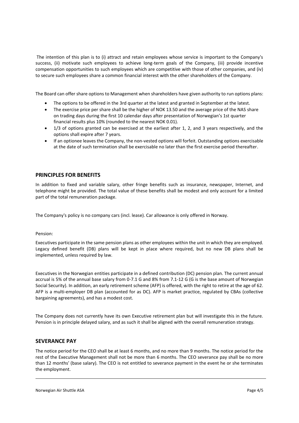The intention of this plan is to (i) attract and retain employees whose service is important to the Company's success, (ii) motivate such employees to achieve long-term goals of the Company, (iii) provide incentive compensation opportunities to such employees which are competitive with those of other companies, and (iv) to secure such employees share a common financial interest with the other shareholders of the Company.

The Board can offer share options to Management when shareholders have given authority to run options plans:

- The options to be offered in the 3rd quarter at the latest and granted in September at the latest.
- The exercise price per share shall be the higher of NOK 13.50 and the average price of the NAS share on trading days during the first 10 calendar days after presentation of Norwegian's 1st quarter financial results plus 10% (rounded to the nearest NOK 0.01).
- 1/3 of options granted can be exercised at the earliest after 1, 2, and 3 years respectively, and the options shall expire after 7 years.
- If an optionee leaves the Company, the non-vested options will forfeit. Outstanding options exercisable at the date of such termination shall be exercisable no later than the first exercise period thereafter.

## **PRINCIPLES FOR BENEFITS**

In addition to fixed and variable salary, other fringe benefits such as insurance, newspaper, Internet, and telephone might be provided. The total value of these benefits shall be modest and only account for a limited part of the total remuneration package.

The Company's policy is no company cars (incl. lease). Car allowance is only offered in Norway.

#### Pension:

Executives participate in the same pension plans as other employees within the unit in which they are employed. Legacy defined benefit (DB) plans will be kept in place where required, but no new DB plans shall be implemented, unless required by law.

Executives in the Norwegian entities participate in a defined contribution (DC) pension plan. The current annual accrual is 5% of the annual base salary from 0-7.1 G and 8% from 7.1-12 G (G is the base amount of Norwegian Social Security). In addition, an early retirement scheme (AFP) is offered, with the right to retire at the age of 62. AFP is a multi-employer DB plan (accounted for as DC). AFP is market practice, regulated by CBAs (collective bargaining agreements), and has a modest cost.

The Company does not currently have its own Executive retirement plan but will investigate this in the future. Pension is in principle delayed salary, and as such it shall be aligned with the overall remuneration strategy.

#### **SEVERANCE PAY**

The notice period for the CEO shall be at least 6 months, and no more than 9 months. The notice period for the rest of the Executive Management shall not be more than 6 months. The CEO severance pay shall be no more than 12 months' (base salary). The CEO is not entitled to severance payment in the event he or she terminates the employment.